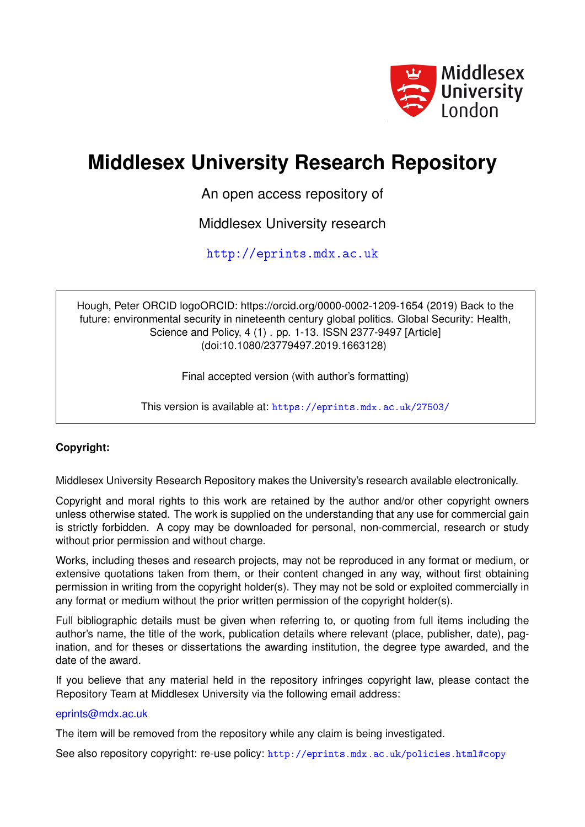

# **Middlesex University Research Repository**

An open access repository of

Middlesex University research

<http://eprints.mdx.ac.uk>

Hough, Peter ORCID logoORCID: https://orcid.org/0000-0002-1209-1654 (2019) Back to the future: environmental security in nineteenth century global politics. Global Security: Health, Science and Policy, 4 (1) . pp. 1-13. ISSN 2377-9497 [Article] (doi:10.1080/23779497.2019.1663128)

Final accepted version (with author's formatting)

This version is available at: <https://eprints.mdx.ac.uk/27503/>

# **Copyright:**

Middlesex University Research Repository makes the University's research available electronically.

Copyright and moral rights to this work are retained by the author and/or other copyright owners unless otherwise stated. The work is supplied on the understanding that any use for commercial gain is strictly forbidden. A copy may be downloaded for personal, non-commercial, research or study without prior permission and without charge.

Works, including theses and research projects, may not be reproduced in any format or medium, or extensive quotations taken from them, or their content changed in any way, without first obtaining permission in writing from the copyright holder(s). They may not be sold or exploited commercially in any format or medium without the prior written permission of the copyright holder(s).

Full bibliographic details must be given when referring to, or quoting from full items including the author's name, the title of the work, publication details where relevant (place, publisher, date), pagination, and for theses or dissertations the awarding institution, the degree type awarded, and the date of the award.

If you believe that any material held in the repository infringes copyright law, please contact the Repository Team at Middlesex University via the following email address:

#### [eprints@mdx.ac.uk](mailto:eprints@mdx.ac.uk)

The item will be removed from the repository while any claim is being investigated.

See also repository copyright: re-use policy: <http://eprints.mdx.ac.uk/policies.html#copy>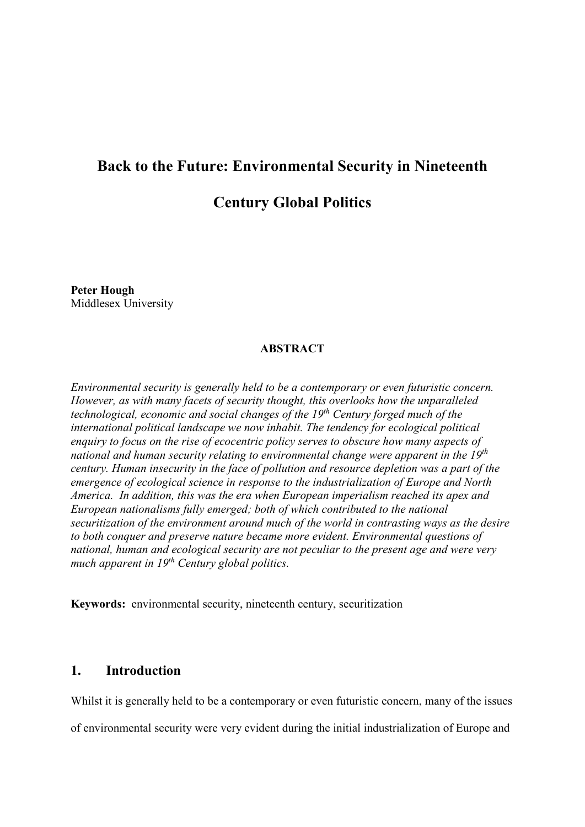# **Back to the Future: Environmental Security in Nineteenth**

# **Century Global Politics**

**Peter Hough** Middlesex University

# **ABSTRACT**

*Environmental security is generally held to be a contemporary or even futuristic concern. However, as with many facets of security thought, this overlooks how the unparalleled technological, economic and social changes of the 19th Century forged much of the international political landscape we now inhabit. The tendency for ecological political enquiry to focus on the rise of ecocentric policy serves to obscure how many aspects of national and human security relating to environmental change were apparent in the 19th century. Human insecurity in the face of pollution and resource depletion was a part of the emergence of ecological science in response to the industrialization of Europe and North America. In addition, this was the era when European imperialism reached its apex and European nationalisms fully emerged; both of which contributed to the national securitization of the environment around much of the world in contrasting ways as the desire to both conquer and preserve nature became more evident. Environmental questions of national, human and ecological security are not peculiar to the present age and were very much apparent in 19th Century global politics.* 

**Keywords:** environmental security, nineteenth century, securitization

# **1. Introduction**

Whilst it is generally held to be a contemporary or even futuristic concern, many of the issues

of environmental security were very evident during the initial industrialization of Europe and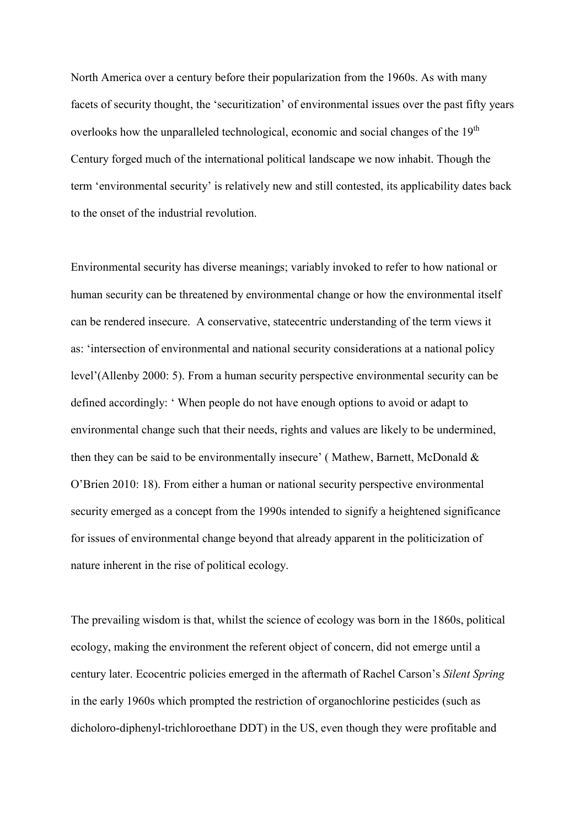North America over a century before their popularization from the 1960s. As with many facets of security thought, the 'securitization' of environmental issues over the past fifty years overlooks how the unparalleled technological, economic and social changes of the 19<sup>th</sup> Century forged much of the international political landscape we now inhabit. Though the term 'environmental security' is relatively new and still contested, its applicability dates back to the onset of the industrial revolution.

Environmental security has diverse meanings; variably invoked to refer to how national or human security can be threatened by environmental change or how the environmental itself can be rendered insecure. A conservative, statecentric understanding of the term views it as: 'intersection of environmental and national security considerations at a national policy level'(Allenby 2000: 5). From a human security perspective environmental security can be defined accordingly: ' When people do not have enough options to avoid or adapt to environmental change such that their needs, rights and values are likely to be undermined, then they can be said to be environmentally insecure' ( Mathew, Barnett, McDonald & O'Brien 2010: 18). From either a human or national security perspective environmental security emerged as a concept from the 1990s intended to signify a heightened significance for issues of environmental change beyond that already apparent in the politicization of nature inherent in the rise of political ecology.

The prevailing wisdom is that, whilst the science of ecology was born in the 1860s, political ecology, making the environment the referent object of concern, did not emerge until a century later. Ecocentric policies emerged in the aftermath of Rachel Carson's *Silent Spring*  in the early 1960s which prompted the restriction of organochlorine pesticides (such as dicholoro-diphenyl-trichloroethane DDT) in the US, even though they were profitable and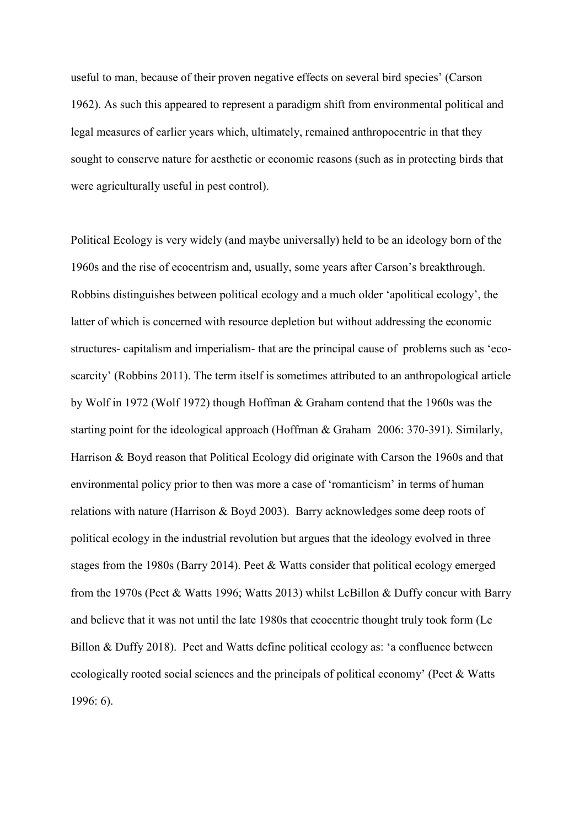useful to man, because of their proven negative effects on several bird species' (Carson 1962). As such this appeared to represent a paradigm shift from environmental political and legal measures of earlier years which, ultimately, remained anthropocentric in that they sought to conserve nature for aesthetic or economic reasons (such as in protecting birds that were agriculturally useful in pest control).

Political Ecology is very widely (and maybe universally) held to be an ideology born of the 1960s and the rise of ecocentrism and, usually, some years after Carson's breakthrough. Robbins distinguishes between political ecology and a much older 'apolitical ecology', the latter of which is concerned with resource depletion but without addressing the economic structures- capitalism and imperialism- that are the principal cause of problems such as 'ecoscarcity' (Robbins 2011). The term itself is sometimes attributed to an anthropological article by Wolf in 1972 (Wolf 1972) though Hoffman & Graham contend that the 1960s was the starting point for the ideological approach (Hoffman & Graham 2006: 370-391). Similarly, Harrison & Boyd reason that Political Ecology did originate with Carson the 1960s and that environmental policy prior to then was more a case of 'romanticism' in terms of human relations with nature (Harrison & Boyd 2003). Barry acknowledges some deep roots of political ecology in the industrial revolution but argues that the ideology evolved in three stages from the 1980s (Barry 2014). Peet & Watts consider that political ecology emerged from the 1970s (Peet & Watts 1996; Watts 2013) whilst LeBillon & Duffy concur with Barry and believe that it was not until the late 1980s that ecocentric thought truly took form (Le Billon & Duffy 2018). Peet and Watts define political ecology as: 'a confluence between ecologically rooted social sciences and the principals of political economy' (Peet & Watts 1996: 6).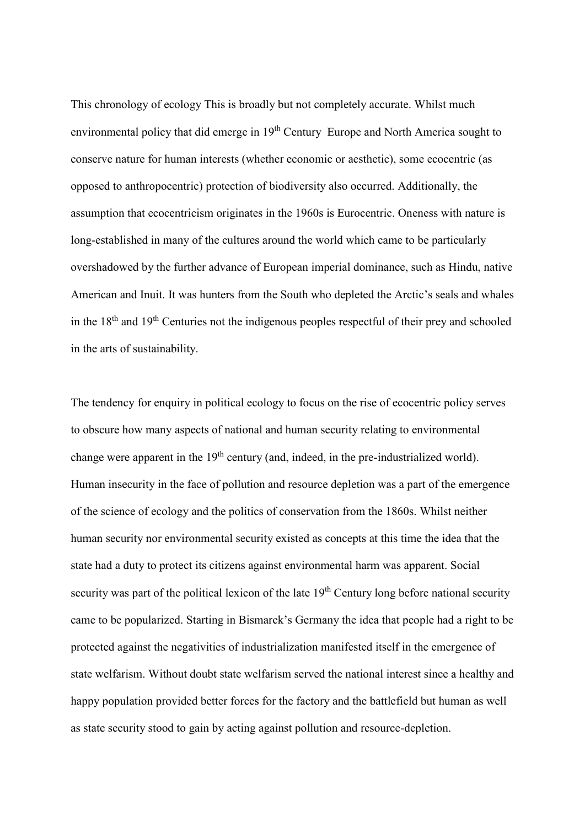This chronology of ecology This is broadly but not completely accurate. Whilst much environmental policy that did emerge in 19<sup>th</sup> Century Europe and North America sought to conserve nature for human interests (whether economic or aesthetic), some ecocentric (as opposed to anthropocentric) protection of biodiversity also occurred. Additionally, the assumption that ecocentricism originates in the 1960s is Eurocentric. Oneness with nature is long-established in many of the cultures around the world which came to be particularly overshadowed by the further advance of European imperial dominance, such as Hindu, native American and Inuit. It was hunters from the South who depleted the Arctic's seals and whales in the  $18<sup>th</sup>$  and  $19<sup>th</sup>$  Centuries not the indigenous peoples respectful of their prey and schooled in the arts of sustainability.

The tendency for enquiry in political ecology to focus on the rise of ecocentric policy serves to obscure how many aspects of national and human security relating to environmental change were apparent in the  $19<sup>th</sup>$  century (and, indeed, in the pre-industrialized world). Human insecurity in the face of pollution and resource depletion was a part of the emergence of the science of ecology and the politics of conservation from the 1860s. Whilst neither human security nor environmental security existed as concepts at this time the idea that the state had a duty to protect its citizens against environmental harm was apparent. Social security was part of the political lexicon of the late 19<sup>th</sup> Century long before national security came to be popularized. Starting in Bismarck's Germany the idea that people had a right to be protected against the negativities of industrialization manifested itself in the emergence of state welfarism. Without doubt state welfarism served the national interest since a healthy and happy population provided better forces for the factory and the battlefield but human as well as state security stood to gain by acting against pollution and resource-depletion.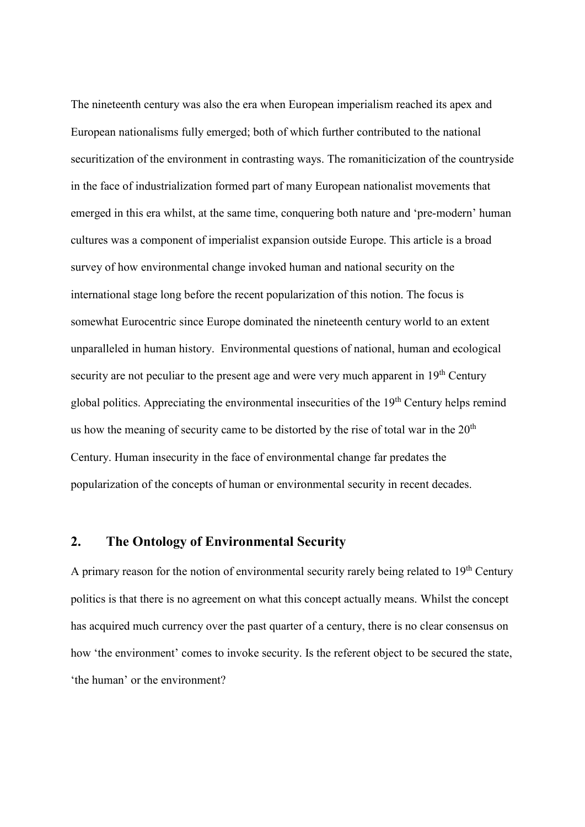The nineteenth century was also the era when European imperialism reached its apex and European nationalisms fully emerged; both of which further contributed to the national securitization of the environment in contrasting ways. The romaniticization of the countryside in the face of industrialization formed part of many European nationalist movements that emerged in this era whilst, at the same time, conquering both nature and 'pre-modern' human cultures was a component of imperialist expansion outside Europe. This article is a broad survey of how environmental change invoked human and national security on the international stage long before the recent popularization of this notion. The focus is somewhat Eurocentric since Europe dominated the nineteenth century world to an extent unparalleled in human history. Environmental questions of national, human and ecological security are not peculiar to the present age and were very much apparent in 19<sup>th</sup> Century global politics. Appreciating the environmental insecurities of the 19<sup>th</sup> Century helps remind us how the meaning of security came to be distorted by the rise of total war in the  $20<sup>th</sup>$ Century. Human insecurity in the face of environmental change far predates the popularization of the concepts of human or environmental security in recent decades.

# **2. The Ontology of Environmental Security**

A primary reason for the notion of environmental security rarely being related to  $19<sup>th</sup>$  Century politics is that there is no agreement on what this concept actually means. Whilst the concept has acquired much currency over the past quarter of a century, there is no clear consensus on how 'the environment' comes to invoke security. Is the referent object to be secured the state, 'the human' or the environment?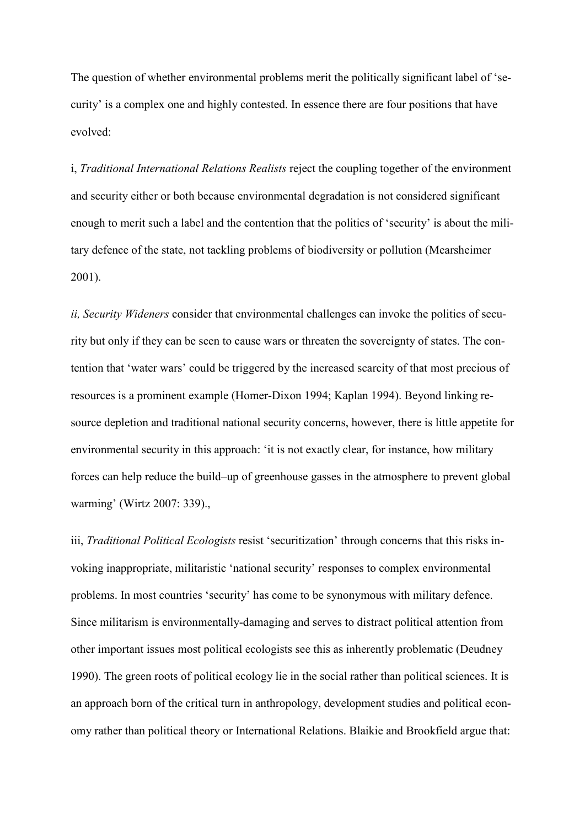The question of whether environmental problems merit the politically significant label of 'security' is a complex one and highly contested. In essence there are four positions that have evolved:

i, *Traditional International Relations Realists* reject the coupling together of the environment and security either or both because environmental degradation is not considered significant enough to merit such a label and the contention that the politics of 'security' is about the military defence of the state, not tackling problems of biodiversity or pollution (Mearsheimer 2001).

*ii, Security Wideners* consider that environmental challenges can invoke the politics of security but only if they can be seen to cause wars or threaten the sovereignty of states. The contention that 'water wars' could be triggered by the increased scarcity of that most precious of resources is a prominent example (Homer-Dixon 1994; Kaplan 1994). Beyond linking resource depletion and traditional national security concerns, however, there is little appetite for environmental security in this approach: 'it is not exactly clear, for instance, how military forces can help reduce the build–up of greenhouse gasses in the atmosphere to prevent global warming' (Wirtz 2007: 339).,

iii, *Traditional Political Ecologists* resist 'securitization' through concerns that this risks invoking inappropriate, militaristic 'national security' responses to complex environmental problems. In most countries 'security' has come to be synonymous with military defence. Since militarism is environmentally-damaging and serves to distract political attention from other important issues most political ecologists see this as inherently problematic (Deudney 1990). The green roots of political ecology lie in the social rather than political sciences. It is an approach born of the critical turn in anthropology, development studies and political economy rather than political theory or International Relations. Blaikie and Brookfield argue that: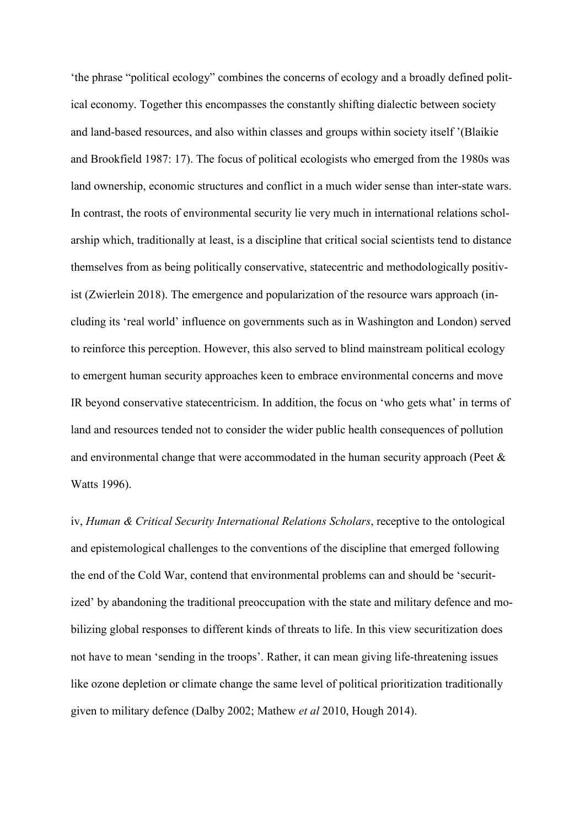'the phrase "political ecology" combines the concerns of ecology and a broadly defined political economy. Together this encompasses the constantly shifting dialectic between society and land-based resources, and also within classes and groups within society itself '(Blaikie and Brookfield 1987: 17). The focus of political ecologists who emerged from the 1980s was land ownership, economic structures and conflict in a much wider sense than inter-state wars. In contrast, the roots of environmental security lie very much in international relations scholarship which, traditionally at least, is a discipline that critical social scientists tend to distance themselves from as being politically conservative, statecentric and methodologically positivist (Zwierlein 2018). The emergence and popularization of the resource wars approach (including its 'real world' influence on governments such as in Washington and London) served to reinforce this perception. However, this also served to blind mainstream political ecology to emergent human security approaches keen to embrace environmental concerns and move IR beyond conservative statecentricism. In addition, the focus on 'who gets what' in terms of land and resources tended not to consider the wider public health consequences of pollution and environmental change that were accommodated in the human security approach (Peet  $\&$ Watts 1996).

iv, *Human & Critical Security International Relations Scholars*, receptive to the ontological and epistemological challenges to the conventions of the discipline that emerged following the end of the Cold War, contend that environmental problems can and should be 'securitized' by abandoning the traditional preoccupation with the state and military defence and mobilizing global responses to different kinds of threats to life. In this view securitization does not have to mean 'sending in the troops'. Rather, it can mean giving life-threatening issues like ozone depletion or climate change the same level of political prioritization traditionally given to military defence (Dalby 2002; Mathew *et al* 2010, Hough 2014).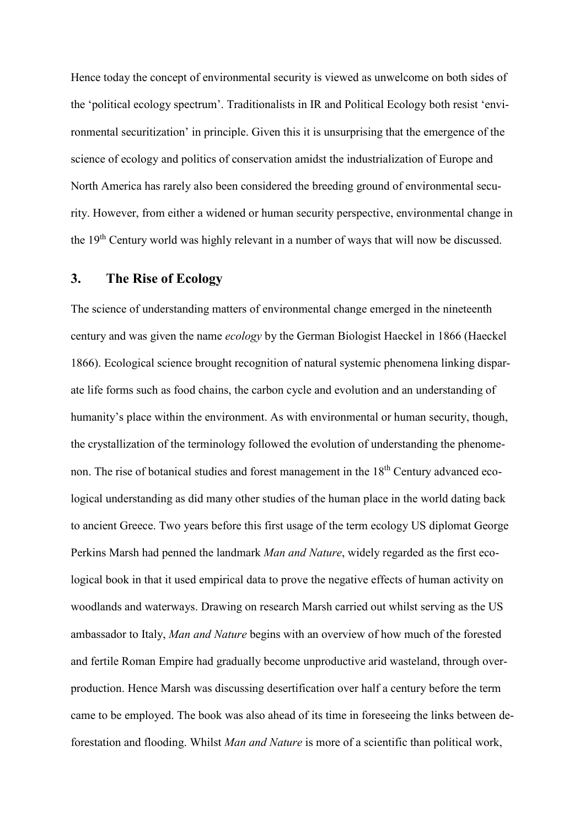Hence today the concept of environmental security is viewed as unwelcome on both sides of the 'political ecology spectrum'. Traditionalists in IR and Political Ecology both resist 'environmental securitization' in principle. Given this it is unsurprising that the emergence of the science of ecology and politics of conservation amidst the industrialization of Europe and North America has rarely also been considered the breeding ground of environmental security. However, from either a widened or human security perspective, environmental change in the 19th Century world was highly relevant in a number of ways that will now be discussed.

# **3. The Rise of Ecology**

The science of understanding matters of environmental change emerged in the nineteenth century and was given the name *ecology* by the German Biologist Haeckel in 1866 (Haeckel 1866). Ecological science brought recognition of natural systemic phenomena linking disparate life forms such as food chains, the carbon cycle and evolution and an understanding of humanity's place within the environment. As with environmental or human security, though, the crystallization of the terminology followed the evolution of understanding the phenomenon. The rise of botanical studies and forest management in the 18<sup>th</sup> Century advanced ecological understanding as did many other studies of the human place in the world dating back to ancient Greece. Two years before this first usage of the term ecology US diplomat George Perkins Marsh had penned the landmark *Man and Nature*, widely regarded as the first ecological book in that it used empirical data to prove the negative effects of human activity on woodlands and waterways. Drawing on research Marsh carried out whilst serving as the US ambassador to Italy, *Man and Nature* begins with an overview of how much of the forested and fertile Roman Empire had gradually become unproductive arid wasteland, through overproduction. Hence Marsh was discussing desertification over half a century before the term came to be employed. The book was also ahead of its time in foreseeing the links between deforestation and flooding. Whilst *Man and Nature* is more of a scientific than political work,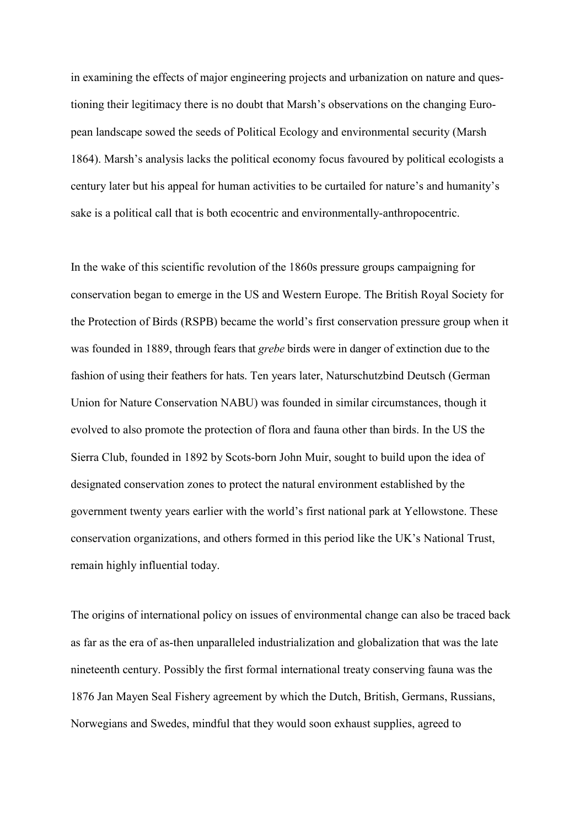in examining the effects of major engineering projects and urbanization on nature and questioning their legitimacy there is no doubt that Marsh's observations on the changing European landscape sowed the seeds of Political Ecology and environmental security (Marsh 1864). Marsh's analysis lacks the political economy focus favoured by political ecologists a century later but his appeal for human activities to be curtailed for nature's and humanity's sake is a political call that is both ecocentric and environmentally-anthropocentric.

In the wake of this scientific revolution of the 1860s pressure groups campaigning for conservation began to emerge in the US and Western Europe. The British Royal Society for the Protection of Birds (RSPB) became the world's first conservation pressure group when it was founded in 1889, through fears that *grebe* birds were in danger of extinction due to the fashion of using their feathers for hats. Ten years later, Naturschutzbind Deutsch (German Union for Nature Conservation NABU) was founded in similar circumstances, though it evolved to also promote the protection of flora and fauna other than birds. In the US the Sierra Club, founded in 1892 by Scots-born John Muir, sought to build upon the idea of designated conservation zones to protect the natural environment established by the government twenty years earlier with the world's first national park at Yellowstone. These conservation organizations, and others formed in this period like the UK's National Trust, remain highly influential today.

The origins of international policy on issues of environmental change can also be traced back as far as the era of as-then unparalleled industrialization and globalization that was the late nineteenth century. Possibly the first formal international treaty conserving fauna was the 1876 Jan Mayen Seal Fishery agreement by which the Dutch, British, Germans, Russians, Norwegians and Swedes, mindful that they would soon exhaust supplies, agreed to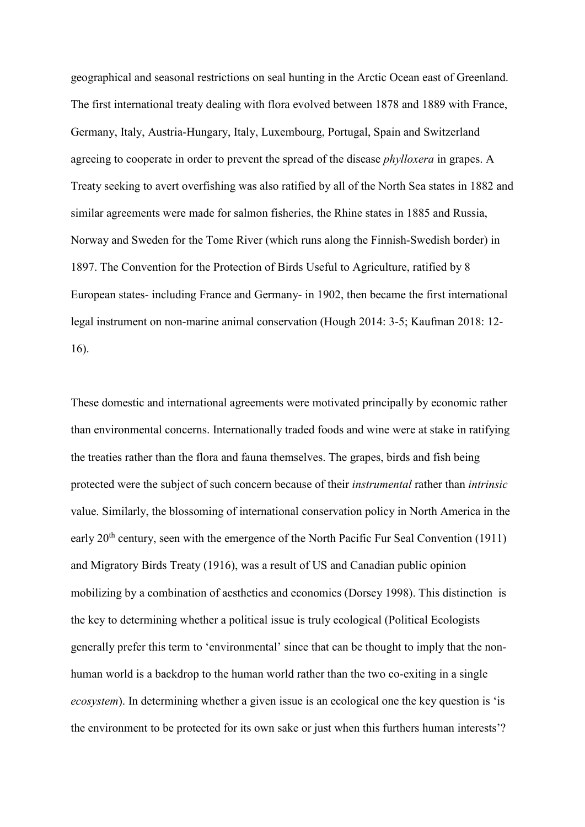geographical and seasonal restrictions on seal hunting in the Arctic Ocean east of Greenland. The first international treaty dealing with flora evolved between 1878 and 1889 with France, Germany, Italy, Austria-Hungary, Italy, Luxembourg, Portugal, Spain and Switzerland agreeing to cooperate in order to prevent the spread of the disease *phylloxera* in grapes. A Treaty seeking to avert overfishing was also ratified by all of the North Sea states in 1882 and similar agreements were made for salmon fisheries, the Rhine states in 1885 and Russia, Norway and Sweden for the Tome River (which runs along the Finnish-Swedish border) in 1897. The Convention for the Protection of Birds Useful to Agriculture, ratified by 8 European states- including France and Germany- in 1902, then became the first international legal instrument on non-marine animal conservation (Hough 2014: 3-5; Kaufman 2018: 12- 16).

These domestic and international agreements were motivated principally by economic rather than environmental concerns. Internationally traded foods and wine were at stake in ratifying the treaties rather than the flora and fauna themselves. The grapes, birds and fish being protected were the subject of such concern because of their *instrumental* rather than *intrinsic* value. Similarly, the blossoming of international conservation policy in North America in the early 20<sup>th</sup> century, seen with the emergence of the North Pacific Fur Seal Convention (1911) and Migratory Birds Treaty (1916), was a result of US and Canadian public opinion mobilizing by a combination of aesthetics and economics (Dorsey 1998). This distinction is the key to determining whether a political issue is truly ecological (Political Ecologists generally prefer this term to 'environmental' since that can be thought to imply that the nonhuman world is a backdrop to the human world rather than the two co-exiting in a single *ecosystem*). In determining whether a given issue is an ecological one the key question is 'is the environment to be protected for its own sake or just when this furthers human interests'?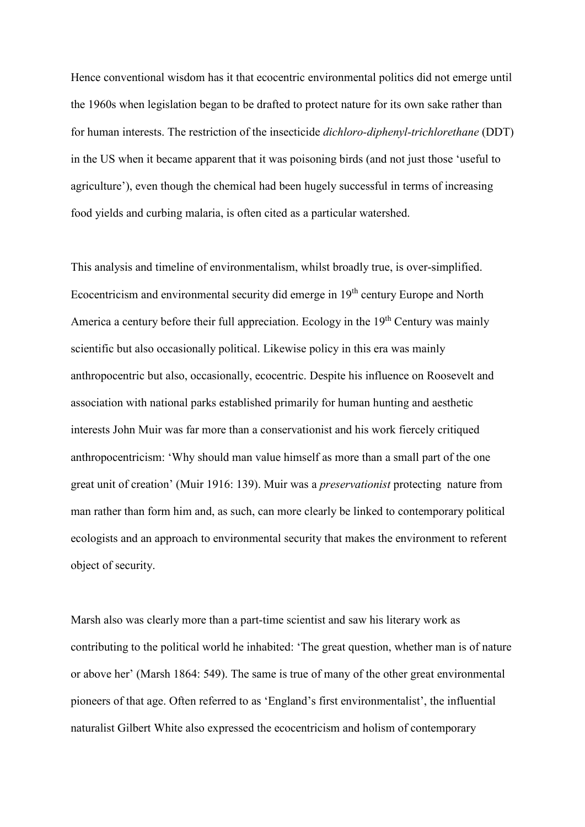Hence conventional wisdom has it that ecocentric environmental politics did not emerge until the 1960s when legislation began to be drafted to protect nature for its own sake rather than for human interests. The restriction of the insecticide *dichloro-diphenyl-trichlorethane* (DDT) in the US when it became apparent that it was poisoning birds (and not just those 'useful to agriculture'), even though the chemical had been hugely successful in terms of increasing food yields and curbing malaria, is often cited as a particular watershed.

This analysis and timeline of environmentalism, whilst broadly true, is over-simplified. Ecocentricism and environmental security did emerge in 19<sup>th</sup> century Europe and North America a century before their full appreciation. Ecology in the  $19<sup>th</sup>$  Century was mainly scientific but also occasionally political. Likewise policy in this era was mainly anthropocentric but also, occasionally, ecocentric. Despite his influence on Roosevelt and association with national parks established primarily for human hunting and aesthetic interests John Muir was far more than a conservationist and his work fiercely critiqued anthropocentricism: 'Why should man value himself as more than a small part of the one great unit of creation' (Muir 1916: 139). Muir was a *preservationist* protecting nature from man rather than form him and, as such, can more clearly be linked to contemporary political ecologists and an approach to environmental security that makes the environment to referent object of security.

Marsh also was clearly more than a part-time scientist and saw his literary work as contributing to the political world he inhabited: 'The great question, whether man is of nature or above her' (Marsh 1864: 549). The same is true of many of the other great environmental pioneers of that age. Often referred to as 'England's first environmentalist', the influential naturalist Gilbert White also expressed the ecocentricism and holism of contemporary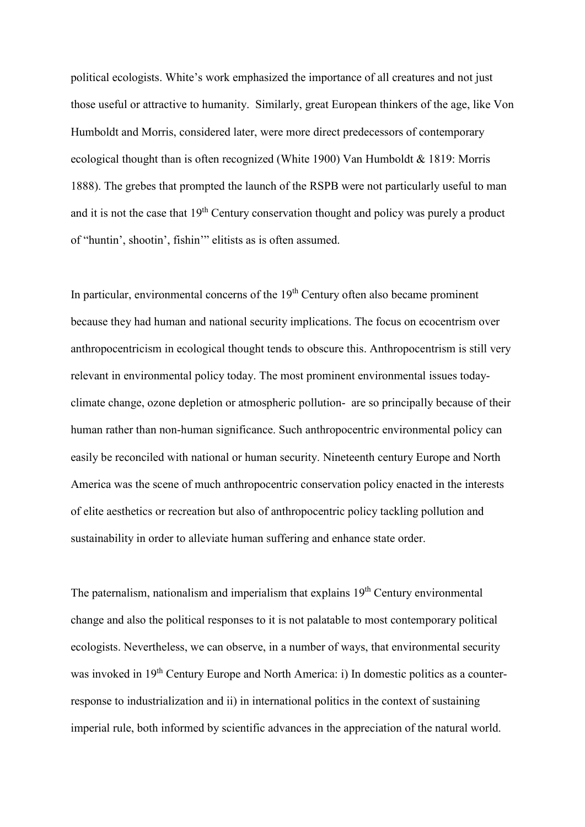political ecologists. White's work emphasized the importance of all creatures and not just those useful or attractive to humanity. Similarly, great European thinkers of the age, like Von Humboldt and Morris, considered later, were more direct predecessors of contemporary ecological thought than is often recognized (White 1900) Van Humboldt & 1819: Morris 1888). The grebes that prompted the launch of the RSPB were not particularly useful to man and it is not the case that 19<sup>th</sup> Century conservation thought and policy was purely a product of "huntin', shootin', fishin'" elitists as is often assumed.

In particular, environmental concerns of the  $19<sup>th</sup>$  Century often also became prominent because they had human and national security implications. The focus on ecocentrism over anthropocentricism in ecological thought tends to obscure this. Anthropocentrism is still very relevant in environmental policy today. The most prominent environmental issues todayclimate change, ozone depletion or atmospheric pollution- are so principally because of their human rather than non-human significance. Such anthropocentric environmental policy can easily be reconciled with national or human security. Nineteenth century Europe and North America was the scene of much anthropocentric conservation policy enacted in the interests of elite aesthetics or recreation but also of anthropocentric policy tackling pollution and sustainability in order to alleviate human suffering and enhance state order.

The paternalism, nationalism and imperialism that explains  $19<sup>th</sup>$  Century environmental change and also the political responses to it is not palatable to most contemporary political ecologists. Nevertheless, we can observe, in a number of ways, that environmental security was invoked in 19<sup>th</sup> Century Europe and North America: i) In domestic politics as a counterresponse to industrialization and ii) in international politics in the context of sustaining imperial rule, both informed by scientific advances in the appreciation of the natural world.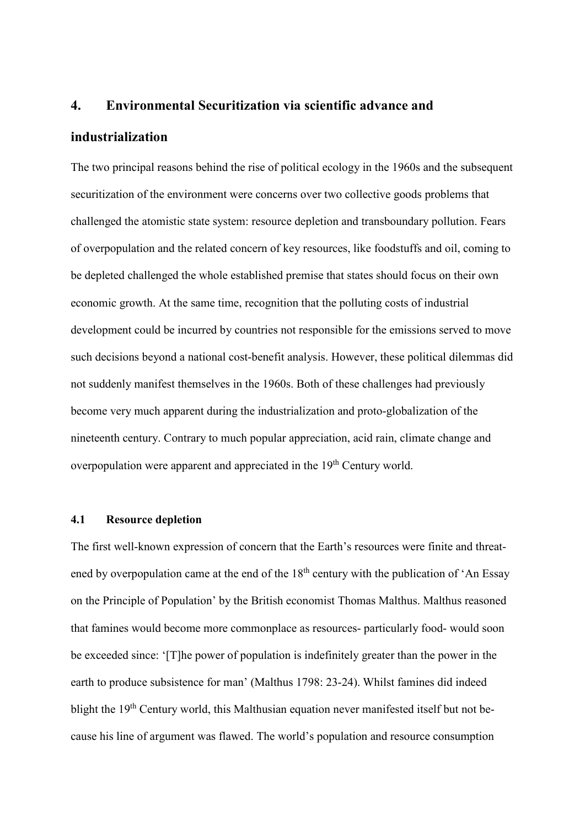#### **4. Environmental Securitization via scientific advance and**

#### **industrialization**

The two principal reasons behind the rise of political ecology in the 1960s and the subsequent securitization of the environment were concerns over two collective goods problems that challenged the atomistic state system: resource depletion and transboundary pollution. Fears of overpopulation and the related concern of key resources, like foodstuffs and oil, coming to be depleted challenged the whole established premise that states should focus on their own economic growth. At the same time, recognition that the polluting costs of industrial development could be incurred by countries not responsible for the emissions served to move such decisions beyond a national cost-benefit analysis. However, these political dilemmas did not suddenly manifest themselves in the 1960s. Both of these challenges had previously become very much apparent during the industrialization and proto-globalization of the nineteenth century. Contrary to much popular appreciation, acid rain, climate change and overpopulation were apparent and appreciated in the 19<sup>th</sup> Century world.

#### **4.1 Resource depletion**

The first well-known expression of concern that the Earth's resources were finite and threatened by overpopulation came at the end of the  $18<sup>th</sup>$  century with the publication of 'An Essay on the Principle of Population' by the British economist Thomas Malthus. Malthus reasoned that famines would become more commonplace as resources- particularly food- would soon be exceeded since: '[T]he power of population is indefinitely greater than the power in the earth to produce subsistence for man' (Malthus 1798: 23-24). Whilst famines did indeed blight the 19<sup>th</sup> Century world, this Malthusian equation never manifested itself but not because his line of argument was flawed. The world's population and resource consumption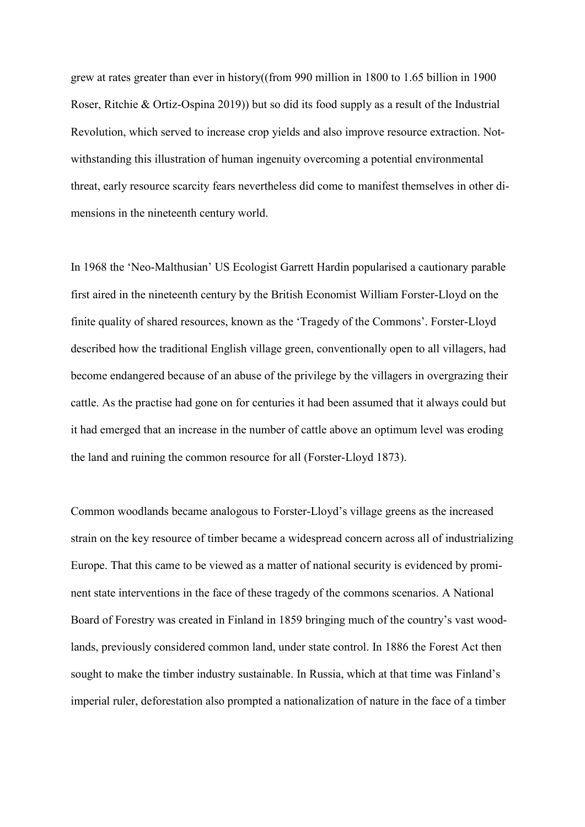grew at rates greater than ever in history((from 990 million in 1800 to 1.65 billion in 1900 Roser, Ritchie & Ortiz-Ospina 2019)) but so did its food supply as a result of the Industrial Revolution, which served to increase crop yields and also improve resource extraction. Notwithstanding this illustration of human ingenuity overcoming a potential environmental threat, early resource scarcity fears nevertheless did come to manifest themselves in other dimensions in the nineteenth century world.

In 1968 the 'Neo-Malthusian' US Ecologist Garrett Hardin popularised a cautionary parable first aired in the nineteenth century by the British Economist William Forster-Lloyd on the finite quality of shared resources, known as the 'Tragedy of the Commons'. Forster-Lloyd described how the traditional English village green, conventionally open to all villagers, had become endangered because of an abuse of the privilege by the villagers in overgrazing their cattle. As the practise had gone on for centuries it had been assumed that it always could but it had emerged that an increase in the number of cattle above an optimum level was eroding the land and ruining the common resource for all (Forster-Lloyd 1873).

Common woodlands became analogous to Forster-Lloyd's village greens as the increased strain on the key resource of timber became a widespread concern across all of industrializing Europe. That this came to be viewed as a matter of national security is evidenced by prominent state interventions in the face of these tragedy of the commons scenarios. A National Board of Forestry was created in Finland in 1859 bringing much of the country's vast woodlands, previously considered common land, under state control. In 1886 the Forest Act then sought to make the timber industry sustainable. In Russia, which at that time was Finland's imperial ruler, deforestation also prompted a nationalization of nature in the face of a timber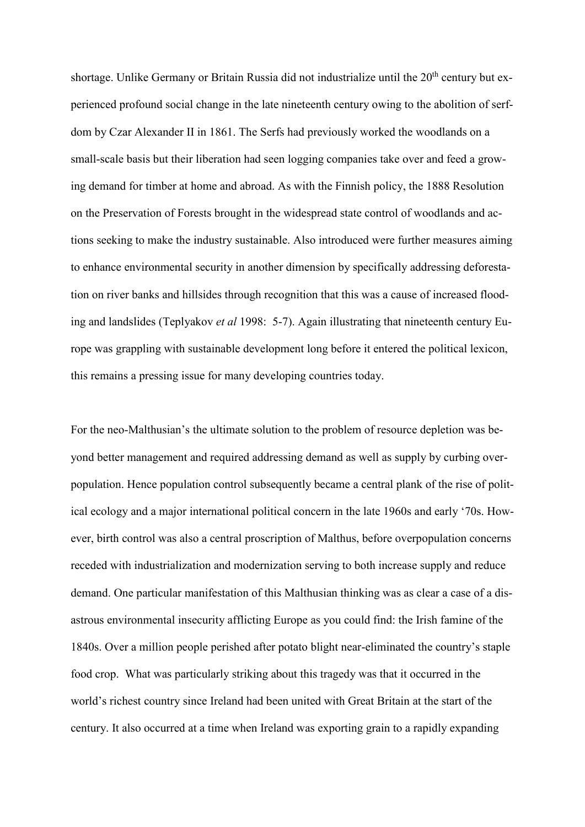shortage. Unlike Germany or Britain Russia did not industrialize until the 20<sup>th</sup> century but experienced profound social change in the late nineteenth century owing to the abolition of serfdom by Czar Alexander II in 1861. The Serfs had previously worked the woodlands on a small-scale basis but their liberation had seen logging companies take over and feed a growing demand for timber at home and abroad. As with the Finnish policy, the 1888 Resolution on the Preservation of Forests brought in the widespread state control of woodlands and actions seeking to make the industry sustainable. Also introduced were further measures aiming to enhance environmental security in another dimension by specifically addressing deforestation on river banks and hillsides through recognition that this was a cause of increased flooding and landslides (Teplyakov *et al* 1998: 5-7). Again illustrating that nineteenth century Europe was grappling with sustainable development long before it entered the political lexicon, this remains a pressing issue for many developing countries today.

For the neo-Malthusian's the ultimate solution to the problem of resource depletion was beyond better management and required addressing demand as well as supply by curbing overpopulation. Hence population control subsequently became a central plank of the rise of political ecology and a major international political concern in the late 1960s and early '70s. However, birth control was also a central proscription of Malthus, before overpopulation concerns receded with industrialization and modernization serving to both increase supply and reduce demand. One particular manifestation of this Malthusian thinking was as clear a case of a disastrous environmental insecurity afflicting Europe as you could find: the Irish famine of the 1840s. Over a million people perished after potato blight near-eliminated the country's staple food crop. What was particularly striking about this tragedy was that it occurred in the world's richest country since Ireland had been united with Great Britain at the start of the century. It also occurred at a time when Ireland was exporting grain to a rapidly expanding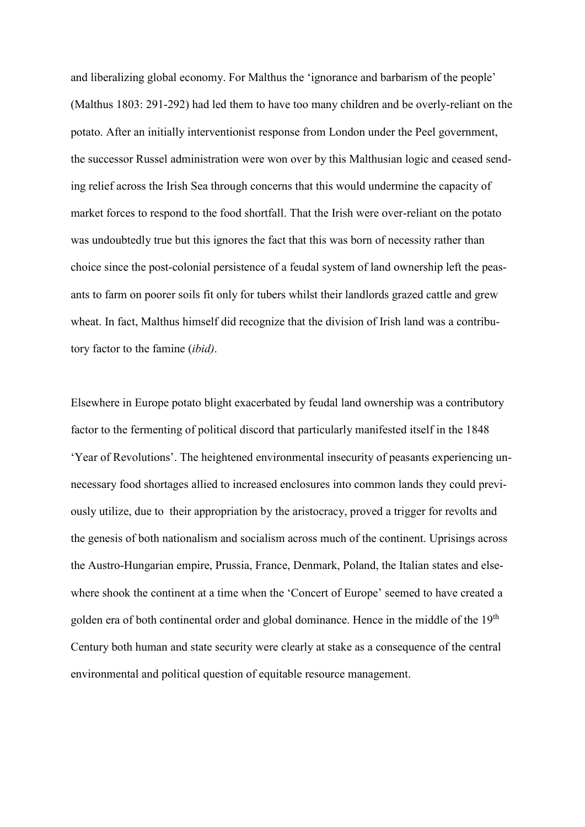and liberalizing global economy. For Malthus the 'ignorance and barbarism of the people' (Malthus 1803: 291-292) had led them to have too many children and be overly-reliant on the potato. After an initially interventionist response from London under the Peel government, the successor Russel administration were won over by this Malthusian logic and ceased sending relief across the Irish Sea through concerns that this would undermine the capacity of market forces to respond to the food shortfall. That the Irish were over-reliant on the potato was undoubtedly true but this ignores the fact that this was born of necessity rather than choice since the post-colonial persistence of a feudal system of land ownership left the peasants to farm on poorer soils fit only for tubers whilst their landlords grazed cattle and grew wheat. In fact, Malthus himself did recognize that the division of Irish land was a contributory factor to the famine (*ibid)*.

Elsewhere in Europe potato blight exacerbated by feudal land ownership was a contributory factor to the fermenting of political discord that particularly manifested itself in the 1848 'Year of Revolutions'. The heightened environmental insecurity of peasants experiencing unnecessary food shortages allied to increased enclosures into common lands they could previously utilize, due to their appropriation by the aristocracy, proved a trigger for revolts and the genesis of both nationalism and socialism across much of the continent. Uprisings across the Austro-Hungarian empire, Prussia, France, Denmark, Poland, the Italian states and elsewhere shook the continent at a time when the 'Concert of Europe' seemed to have created a golden era of both continental order and global dominance. Hence in the middle of the 19<sup>th</sup> Century both human and state security were clearly at stake as a consequence of the central environmental and political question of equitable resource management.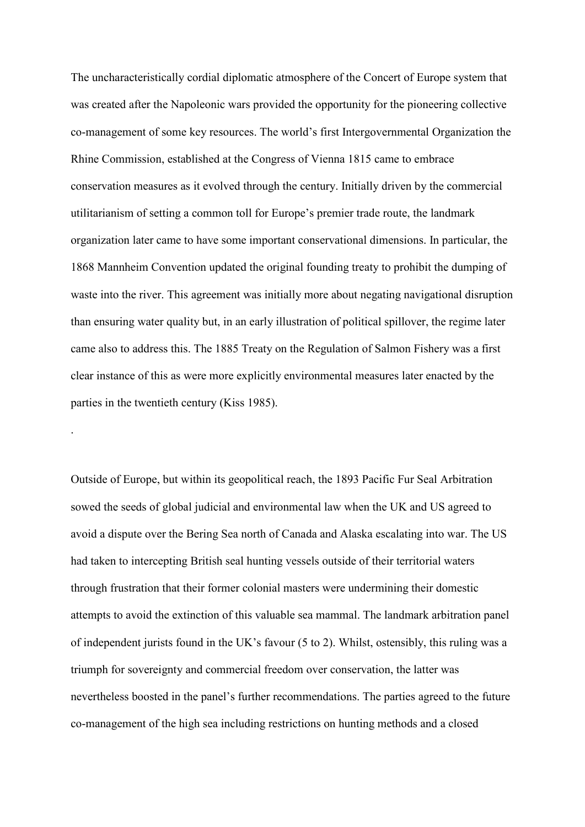The uncharacteristically cordial diplomatic atmosphere of the Concert of Europe system that was created after the Napoleonic wars provided the opportunity for the pioneering collective co-management of some key resources. The world's first Intergovernmental Organization the Rhine Commission, established at the Congress of Vienna 1815 came to embrace conservation measures as it evolved through the century. Initially driven by the commercial utilitarianism of setting a common toll for Europe's premier trade route, the landmark organization later came to have some important conservational dimensions. In particular, the 1868 Mannheim Convention updated the original founding treaty to prohibit the dumping of waste into the river. This agreement was initially more about negating navigational disruption than ensuring water quality but, in an early illustration of political spillover, the regime later came also to address this. The 1885 Treaty on the Regulation of Salmon Fishery was a first clear instance of this as were more explicitly environmental measures later enacted by the parties in the twentieth century (Kiss 1985).

Outside of Europe, but within its geopolitical reach, the 1893 Pacific Fur Seal Arbitration sowed the seeds of global judicial and environmental law when the UK and US agreed to avoid a dispute over the Bering Sea north of Canada and Alaska escalating into war. The US had taken to intercepting British seal hunting vessels outside of their territorial waters through frustration that their former colonial masters were undermining their domestic attempts to avoid the extinction of this valuable sea mammal. The landmark arbitration panel of independent jurists found in the UK's favour (5 to 2). Whilst, ostensibly, this ruling was a triumph for sovereignty and commercial freedom over conservation, the latter was nevertheless boosted in the panel's further recommendations. The parties agreed to the future co-management of the high sea including restrictions on hunting methods and a closed

.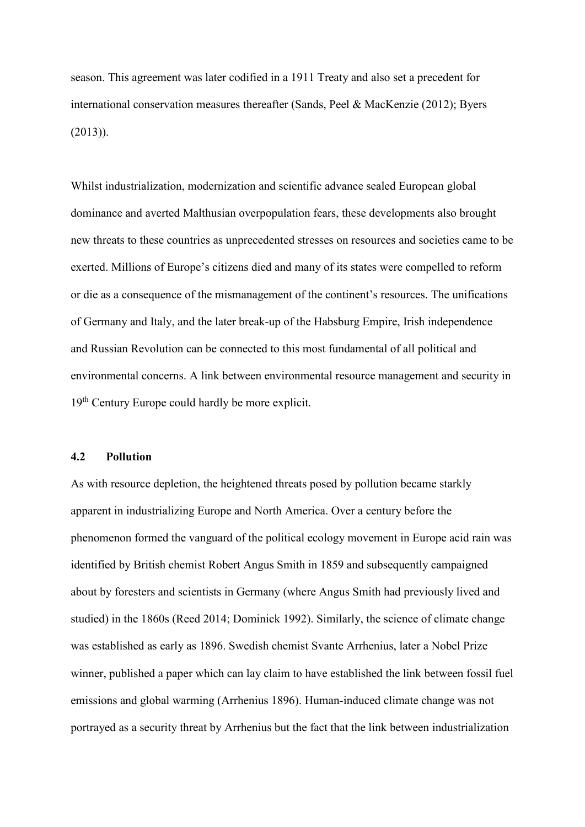season. This agreement was later codified in a 1911 Treaty and also set a precedent for international conservation measures thereafter (Sands, Peel & MacKenzie (2012); Byers (2013)).

Whilst industrialization, modernization and scientific advance sealed European global dominance and averted Malthusian overpopulation fears, these developments also brought new threats to these countries as unprecedented stresses on resources and societies came to be exerted. Millions of Europe's citizens died and many of its states were compelled to reform or die as a consequence of the mismanagement of the continent's resources. The unifications of Germany and Italy, and the later break-up of the Habsburg Empire, Irish independence and Russian Revolution can be connected to this most fundamental of all political and environmental concerns. A link between environmental resource management and security in 19th Century Europe could hardly be more explicit.

#### **4.2 Pollution**

As with resource depletion, the heightened threats posed by pollution became starkly apparent in industrializing Europe and North America. Over a century before the phenomenon formed the vanguard of the political ecology movement in Europe acid rain was identified by British chemist Robert Angus Smith in 1859 and subsequently campaigned about by foresters and scientists in Germany (where Angus Smith had previously lived and studied) in the 1860s (Reed 2014; Dominick 1992). Similarly, the science of climate change was established as early as 1896. Swedish chemist Svante Arrhenius, later a Nobel Prize winner, published a paper which can lay claim to have established the link between fossil fuel emissions and global warming (Arrhenius 1896). Human-induced climate change was not portrayed as a security threat by Arrhenius but the fact that the link between industrialization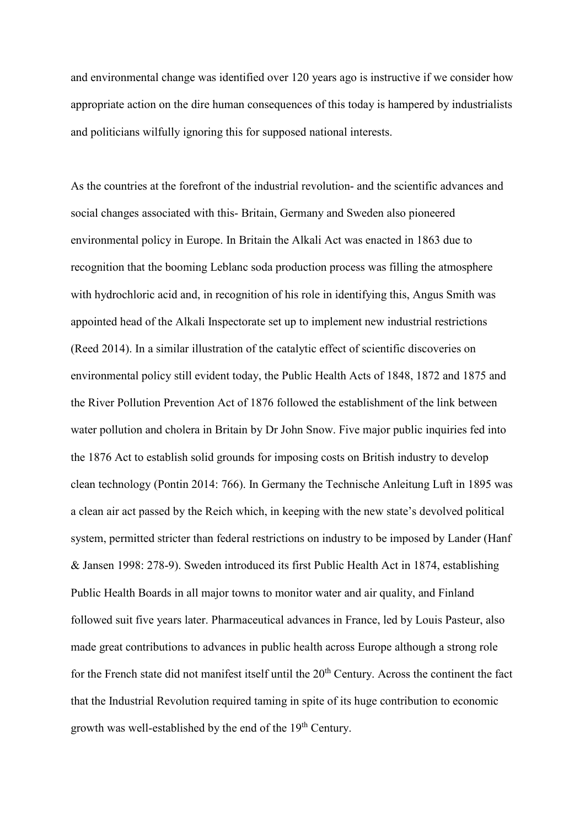and environmental change was identified over 120 years ago is instructive if we consider how appropriate action on the dire human consequences of this today is hampered by industrialists and politicians wilfully ignoring this for supposed national interests.

As the countries at the forefront of the industrial revolution- and the scientific advances and social changes associated with this- Britain, Germany and Sweden also pioneered environmental policy in Europe. In Britain the Alkali Act was enacted in 1863 due to recognition that the booming Leblanc soda production process was filling the atmosphere with hydrochloric acid and, in recognition of his role in identifying this, Angus Smith was appointed head of the Alkali Inspectorate set up to implement new industrial restrictions (Reed 2014). In a similar illustration of the catalytic effect of scientific discoveries on environmental policy still evident today, the Public Health Acts of 1848, 1872 and 1875 and the River Pollution Prevention Act of 1876 followed the establishment of the link between water pollution and cholera in Britain by Dr John Snow. Five major public inquiries fed into the 1876 Act to establish solid grounds for imposing costs on British industry to develop clean technology (Pontin 2014: 766). In Germany the Technische Anleitung Luft in 1895 was a clean air act passed by the Reich which, in keeping with the new state's devolved political system, permitted stricter than federal restrictions on industry to be imposed by Lander (Hanf & Jansen 1998: 278-9). Sweden introduced its first Public Health Act in 1874, establishing Public Health Boards in all major towns to monitor water and air quality, and Finland followed suit five years later. Pharmaceutical advances in France, led by Louis Pasteur, also made great contributions to advances in public health across Europe although a strong role for the French state did not manifest itself until the 20<sup>th</sup> Century. Across the continent the fact that the Industrial Revolution required taming in spite of its huge contribution to economic growth was well-established by the end of the 19<sup>th</sup> Century.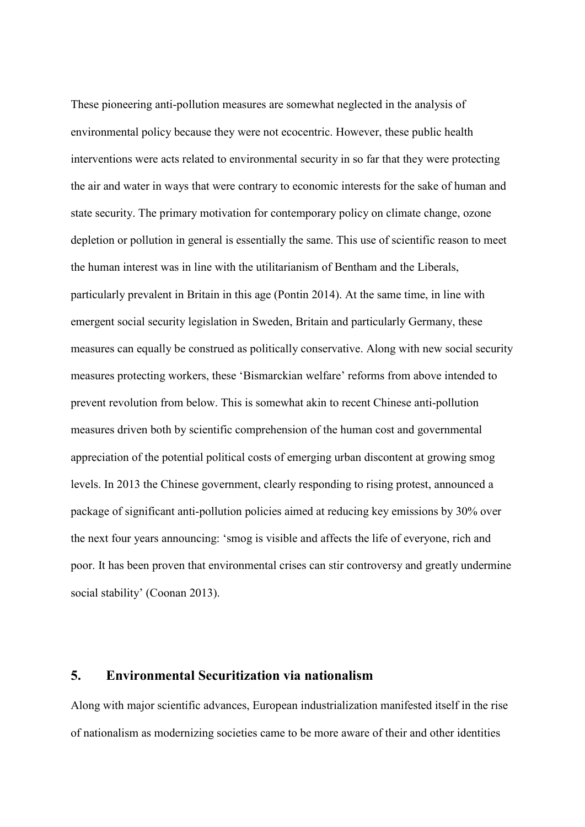These pioneering anti-pollution measures are somewhat neglected in the analysis of environmental policy because they were not ecocentric. However, these public health interventions were acts related to environmental security in so far that they were protecting the air and water in ways that were contrary to economic interests for the sake of human and state security. The primary motivation for contemporary policy on climate change, ozone depletion or pollution in general is essentially the same. This use of scientific reason to meet the human interest was in line with the utilitarianism of Bentham and the Liberals, particularly prevalent in Britain in this age (Pontin 2014). At the same time, in line with emergent social security legislation in Sweden, Britain and particularly Germany, these measures can equally be construed as politically conservative. Along with new social security measures protecting workers, these 'Bismarckian welfare' reforms from above intended to prevent revolution from below. This is somewhat akin to recent Chinese anti-pollution measures driven both by scientific comprehension of the human cost and governmental appreciation of the potential political costs of emerging urban discontent at growing smog levels. In 2013 the Chinese government, clearly responding to rising protest, announced a package of significant anti-pollution policies aimed at reducing key emissions by 30% over the next four years announcing: 'smog is visible and affects the life of everyone, rich and poor. It has been proven that environmental crises can stir controversy and greatly undermine social stability' (Coonan 2013).

# **5. Environmental Securitization via nationalism**

Along with major scientific advances, European industrialization manifested itself in the rise of nationalism as modernizing societies came to be more aware of their and other identities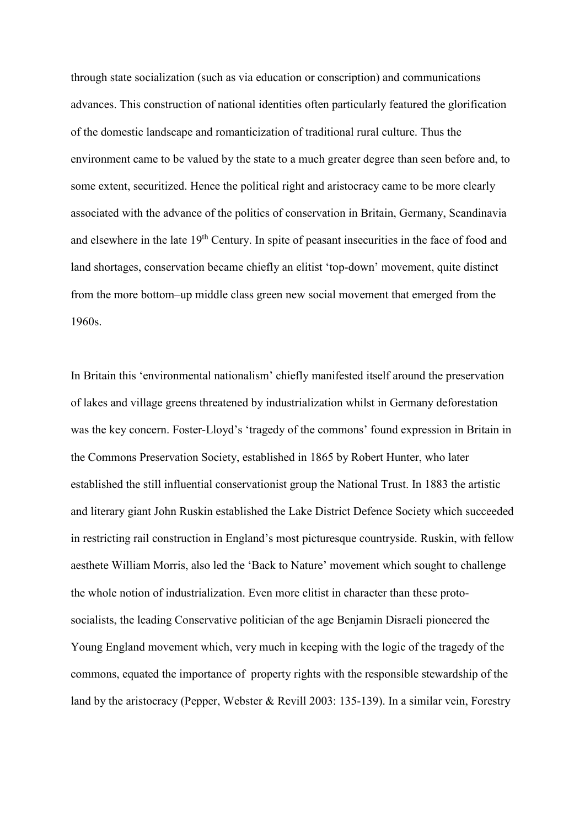through state socialization (such as via education or conscription) and communications advances. This construction of national identities often particularly featured the glorification of the domestic landscape and romanticization of traditional rural culture. Thus the environment came to be valued by the state to a much greater degree than seen before and, to some extent, securitized. Hence the political right and aristocracy came to be more clearly associated with the advance of the politics of conservation in Britain, Germany, Scandinavia and elsewhere in the late 19<sup>th</sup> Century. In spite of peasant insecurities in the face of food and land shortages, conservation became chiefly an elitist 'top-down' movement, quite distinct from the more bottom–up middle class green new social movement that emerged from the 1960s.

In Britain this 'environmental nationalism' chiefly manifested itself around the preservation of lakes and village greens threatened by industrialization whilst in Germany deforestation was the key concern. Foster-Lloyd's 'tragedy of the commons' found expression in Britain in the Commons Preservation Society, established in 1865 by Robert Hunter, who later established the still influential conservationist group the National Trust. In 1883 the artistic and literary giant John Ruskin established the Lake District Defence Society which succeeded in restricting rail construction in England's most picturesque countryside. Ruskin, with fellow aesthete William Morris, also led the 'Back to Nature' movement which sought to challenge the whole notion of industrialization. Even more elitist in character than these protosocialists, the leading Conservative politician of the age Benjamin Disraeli pioneered the Young England movement which, very much in keeping with the logic of the tragedy of the commons, equated the importance of property rights with the responsible stewardship of the land by the aristocracy (Pepper, Webster & Revill 2003: 135-139). In a similar vein, Forestry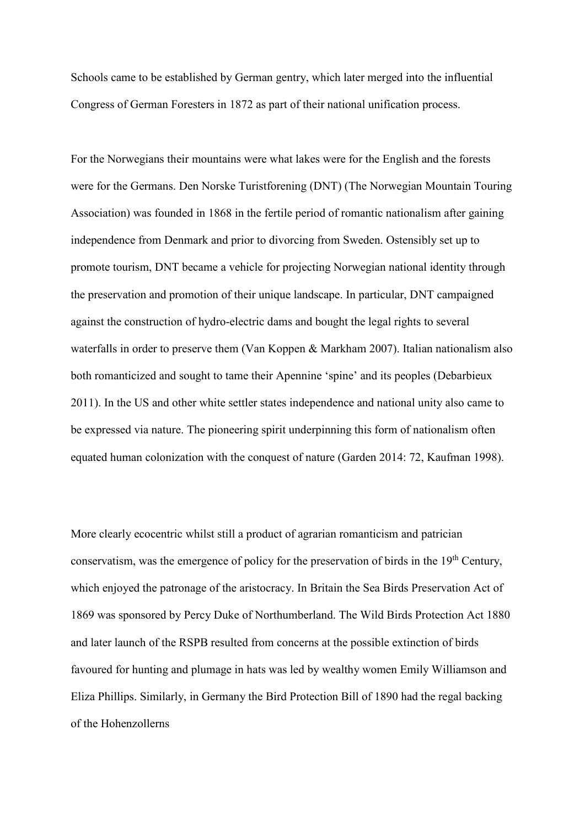Schools came to be established by German gentry, which later merged into the influential Congress of German Foresters in 1872 as part of their national unification process.

For the Norwegians their mountains were what lakes were for the English and the forests were for the Germans. Den Norske Turistforening (DNT) (The Norwegian Mountain Touring Association) was founded in 1868 in the fertile period of romantic nationalism after gaining independence from Denmark and prior to divorcing from Sweden. Ostensibly set up to promote tourism, DNT became a vehicle for projecting Norwegian national identity through the preservation and promotion of their unique landscape. In particular, DNT campaigned against the construction of hydro-electric dams and bought the legal rights to several waterfalls in order to preserve them (Van Koppen & Markham 2007). Italian nationalism also both romanticized and sought to tame their Apennine 'spine' and its peoples (Debarbieux 2011). In the US and other white settler states independence and national unity also came to be expressed via nature. The pioneering spirit underpinning this form of nationalism often equated human colonization with the conquest of nature (Garden 2014: 72, Kaufman 1998).

More clearly ecocentric whilst still a product of agrarian romanticism and patrician conservatism, was the emergence of policy for the preservation of birds in the 19<sup>th</sup> Century, which enjoyed the patronage of the aristocracy. In Britain the Sea Birds Preservation Act of 1869 was sponsored by Percy Duke of Northumberland. The Wild Birds Protection Act 1880 and later launch of the RSPB resulted from concerns at the possible extinction of birds favoured for hunting and plumage in hats was led by wealthy women Emily Williamson and Eliza Phillips. Similarly, in Germany the Bird Protection Bill of 1890 had the regal backing of the Hohenzollerns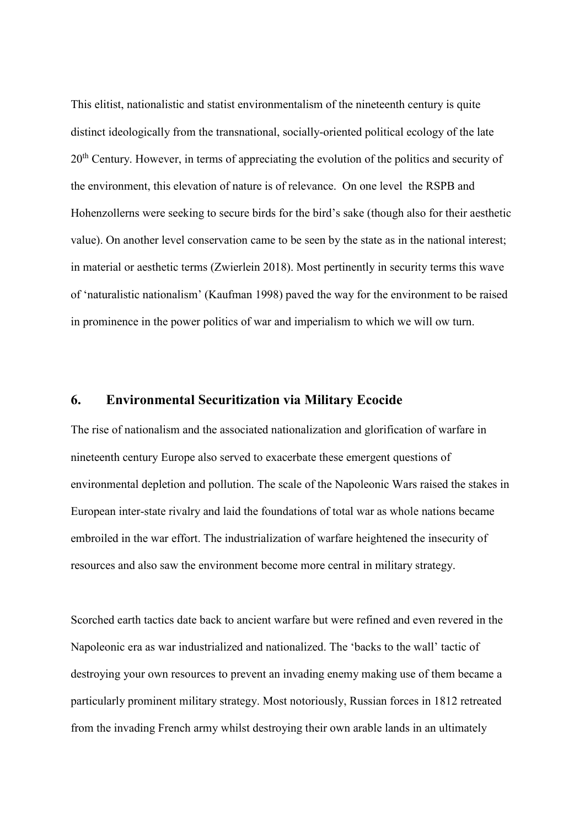This elitist, nationalistic and statist environmentalism of the nineteenth century is quite distinct ideologically from the transnational, socially-oriented political ecology of the late 20<sup>th</sup> Century. However, in terms of appreciating the evolution of the politics and security of the environment, this elevation of nature is of relevance. On one level the RSPB and Hohenzollerns were seeking to secure birds for the bird's sake (though also for their aesthetic value). On another level conservation came to be seen by the state as in the national interest; in material or aesthetic terms (Zwierlein 2018). Most pertinently in security terms this wave of 'naturalistic nationalism' (Kaufman 1998) paved the way for the environment to be raised in prominence in the power politics of war and imperialism to which we will ow turn.

# **6. Environmental Securitization via Military Ecocide**

The rise of nationalism and the associated nationalization and glorification of warfare in nineteenth century Europe also served to exacerbate these emergent questions of environmental depletion and pollution. The scale of the Napoleonic Wars raised the stakes in European inter-state rivalry and laid the foundations of total war as whole nations became embroiled in the war effort. The industrialization of warfare heightened the insecurity of resources and also saw the environment become more central in military strategy.

Scorched earth tactics date back to ancient warfare but were refined and even revered in the Napoleonic era as war industrialized and nationalized. The 'backs to the wall' tactic of destroying your own resources to prevent an invading enemy making use of them became a particularly prominent military strategy. Most notoriously, Russian forces in 1812 retreated from the invading French army whilst destroying their own arable lands in an ultimately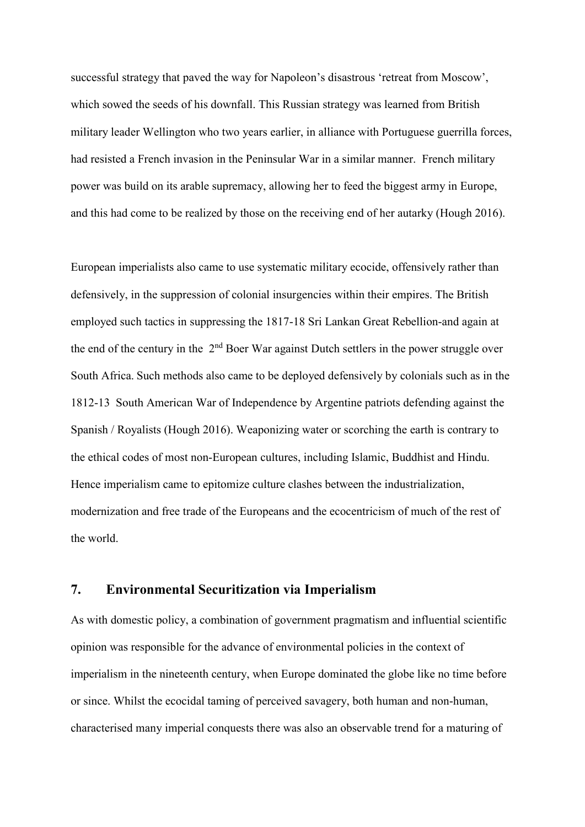successful strategy that paved the way for Napoleon's disastrous 'retreat from Moscow', which sowed the seeds of his downfall. This Russian strategy was learned from British military leader Wellington who two years earlier, in alliance with Portuguese guerrilla forces, had resisted a French invasion in the Peninsular War in a similar manner. French military power was build on its arable supremacy, allowing her to feed the biggest army in Europe, and this had come to be realized by those on the receiving end of her autarky (Hough 2016).

European imperialists also came to use systematic military ecocide, offensively rather than defensively, in the suppression of colonial insurgencies within their empires. The British employed such tactics in suppressing the 1817-18 Sri Lankan Great Rebellion-and again at the end of the century in the  $2<sup>nd</sup>$  Boer War against Dutch settlers in the power struggle over South Africa. Such methods also came to be deployed defensively by colonials such as in the 1812-13 South American War of Independence by Argentine patriots defending against the Spanish / Royalists (Hough 2016). Weaponizing water or scorching the earth is contrary to the ethical codes of most non-European cultures, including Islamic, Buddhist and Hindu. Hence imperialism came to epitomize culture clashes between the industrialization, modernization and free trade of the Europeans and the ecocentricism of much of the rest of the world.

# **7. Environmental Securitization via Imperialism**

As with domestic policy, a combination of government pragmatism and influential scientific opinion was responsible for the advance of environmental policies in the context of imperialism in the nineteenth century, when Europe dominated the globe like no time before or since. Whilst the ecocidal taming of perceived savagery, both human and non-human, characterised many imperial conquests there was also an observable trend for a maturing of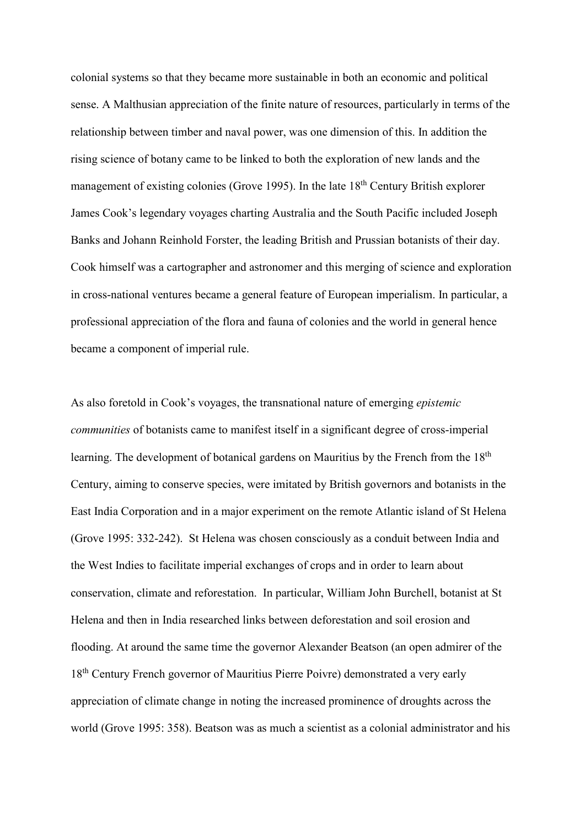colonial systems so that they became more sustainable in both an economic and political sense. A Malthusian appreciation of the finite nature of resources, particularly in terms of the relationship between timber and naval power, was one dimension of this. In addition the rising science of botany came to be linked to both the exploration of new lands and the management of existing colonies (Grove 1995). In the late  $18<sup>th</sup>$  Century British explorer James Cook's legendary voyages charting Australia and the South Pacific included Joseph Banks and Johann Reinhold Forster, the leading British and Prussian botanists of their day. Cook himself was a cartographer and astronomer and this merging of science and exploration in cross-national ventures became a general feature of European imperialism. In particular, a professional appreciation of the flora and fauna of colonies and the world in general hence became a component of imperial rule.

As also foretold in Cook's voyages, the transnational nature of emerging *epistemic communities* of botanists came to manifest itself in a significant degree of cross-imperial learning. The development of botanical gardens on Mauritius by the French from the 18<sup>th</sup> Century, aiming to conserve species, were imitated by British governors and botanists in the East India Corporation and in a major experiment on the remote Atlantic island of St Helena (Grove 1995: 332-242). St Helena was chosen consciously as a conduit between India and the West Indies to facilitate imperial exchanges of crops and in order to learn about conservation, climate and reforestation. In particular, William John Burchell, botanist at St Helena and then in India researched links between deforestation and soil erosion and flooding. At around the same time the governor Alexander Beatson (an open admirer of the 18<sup>th</sup> Century French governor of Mauritius Pierre Poivre) demonstrated a very early appreciation of climate change in noting the increased prominence of droughts across the world (Grove 1995: 358). Beatson was as much a scientist as a colonial administrator and his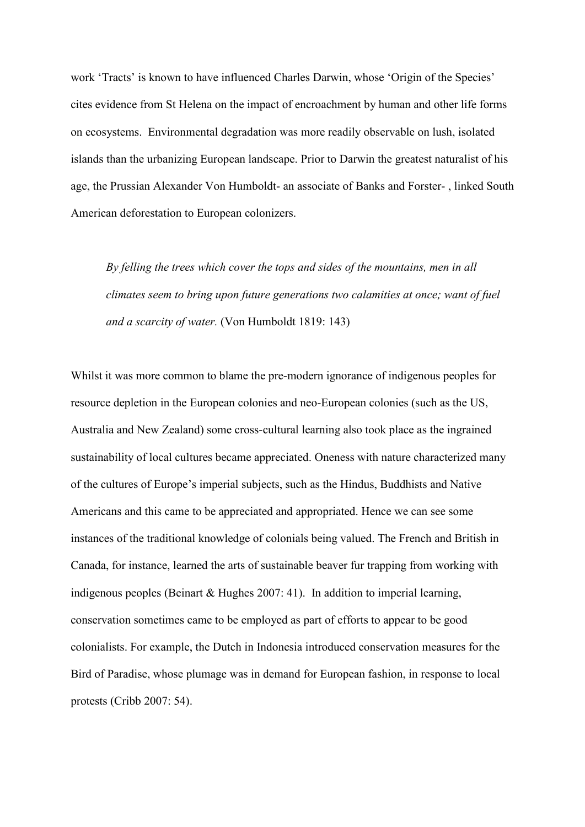work 'Tracts' is known to have influenced Charles Darwin, whose 'Origin of the Species' cites evidence from St Helena on the impact of encroachment by human and other life forms on ecosystems. Environmental degradation was more readily observable on lush, isolated islands than the urbanizing European landscape. Prior to Darwin the greatest naturalist of his age, the Prussian Alexander Von Humboldt- an associate of Banks and Forster- , linked South American deforestation to European colonizers.

*By felling the trees which cover the tops and sides of the mountains, men in all climates seem to bring upon future generations two calamities at once; want of fuel and a scarcity of water.* (Von Humboldt 1819: 143)

Whilst it was more common to blame the pre-modern ignorance of indigenous peoples for resource depletion in the European colonies and neo-European colonies (such as the US, Australia and New Zealand) some cross-cultural learning also took place as the ingrained sustainability of local cultures became appreciated. Oneness with nature characterized many of the cultures of Europe's imperial subjects, such as the Hindus, Buddhists and Native Americans and this came to be appreciated and appropriated. Hence we can see some instances of the traditional knowledge of colonials being valued. The French and British in Canada, for instance, learned the arts of sustainable beaver fur trapping from working with indigenous peoples (Beinart & Hughes 2007: 41). In addition to imperial learning, conservation sometimes came to be employed as part of efforts to appear to be good colonialists. For example, the Dutch in Indonesia introduced conservation measures for the Bird of Paradise, whose plumage was in demand for European fashion, in response to local protests (Cribb 2007: 54).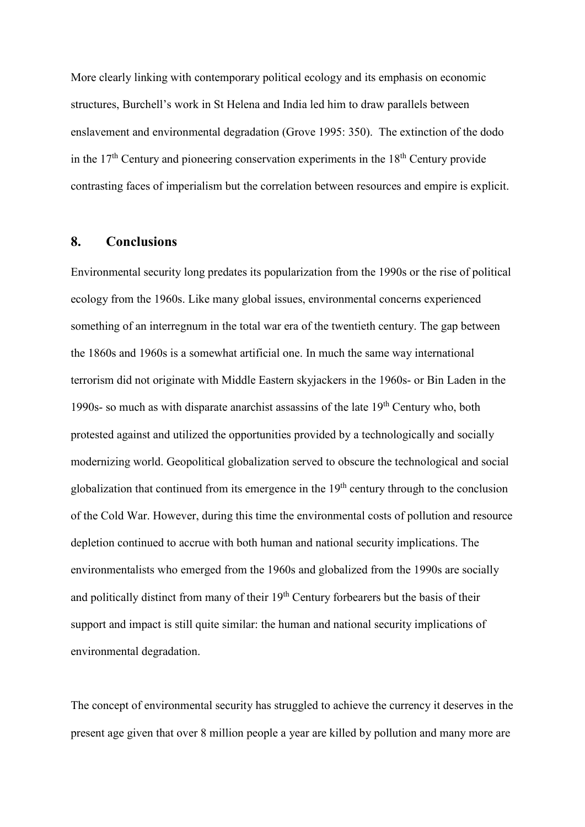More clearly linking with contemporary political ecology and its emphasis on economic structures, Burchell's work in St Helena and India led him to draw parallels between enslavement and environmental degradation (Grove 1995: 350). The extinction of the dodo in the  $17<sup>th</sup>$  Century and pioneering conservation experiments in the  $18<sup>th</sup>$  Century provide contrasting faces of imperialism but the correlation between resources and empire is explicit.

# **8. Conclusions**

Environmental security long predates its popularization from the 1990s or the rise of political ecology from the 1960s. Like many global issues, environmental concerns experienced something of an interregnum in the total war era of the twentieth century. The gap between the 1860s and 1960s is a somewhat artificial one. In much the same way international terrorism did not originate with Middle Eastern skyjackers in the 1960s- or Bin Laden in the 1990s- so much as with disparate anarchist assassins of the late  $19<sup>th</sup>$  Century who, both protested against and utilized the opportunities provided by a technologically and socially modernizing world. Geopolitical globalization served to obscure the technological and social globalization that continued from its emergence in the  $19<sup>th</sup>$  century through to the conclusion of the Cold War. However, during this time the environmental costs of pollution and resource depletion continued to accrue with both human and national security implications. The environmentalists who emerged from the 1960s and globalized from the 1990s are socially and politically distinct from many of their 19<sup>th</sup> Century forbearers but the basis of their support and impact is still quite similar: the human and national security implications of environmental degradation.

The concept of environmental security has struggled to achieve the currency it deserves in the present age given that over 8 million people a year are killed by pollution and many more are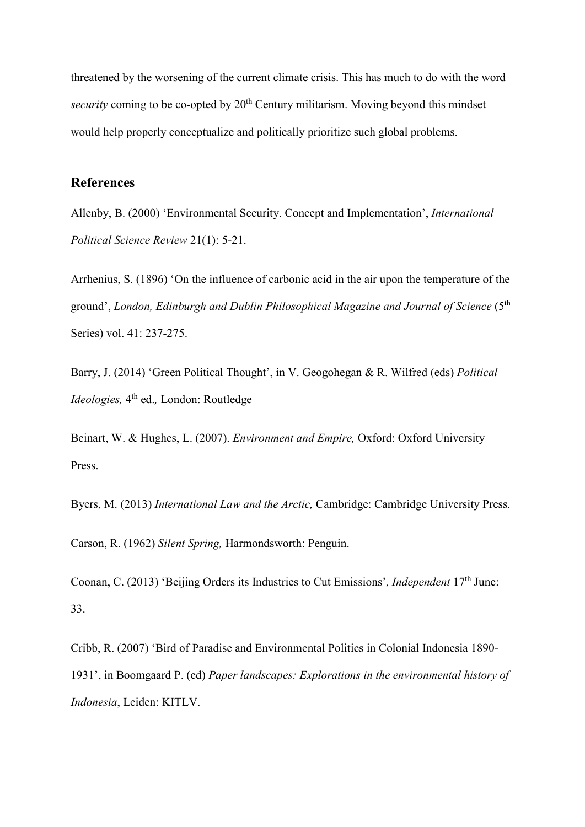threatened by the worsening of the current climate crisis. This has much to do with the word *security* coming to be co-opted by 20<sup>th</sup> Century militarism. Moving beyond this mindset would help properly conceptualize and politically prioritize such global problems.

# **References**

Allenby, B. (2000) 'Environmental Security. Concept and Implementation', *International Political Science Review* 21(1): 5-21.

Arrhenius, S. (1896) 'On the influence of carbonic acid in the air upon the temperature of the ground', *London, Edinburgh and Dublin Philosophical Magazine and Journal of Science* (5th Series) vol. 41: 237-275.

Barry, J. (2014) 'Green Political Thought', in V. Geogohegan & R. Wilfred (eds) *Political Ideologies,* 4<sup>th</sup> ed., London: Routledge

Beinart, W. & Hughes, L. (2007). *Environment and Empire,* Oxford: Oxford University Press.

Byers, M. (2013) *International Law and the Arctic,* Cambridge: Cambridge University Press.

Carson, R. (1962) *Silent Spring,* Harmondsworth: Penguin.

Coonan, C. (2013) 'Beijing Orders its Industries to Cut Emissions'*, Independent* 17th June: 33.

Cribb, R. (2007) 'Bird of Paradise and Environmental Politics in Colonial Indonesia 1890- 1931', in Boomgaard P. (ed) *Paper landscapes: Explorations in the environmental history of Indonesia*, Leiden: KITLV.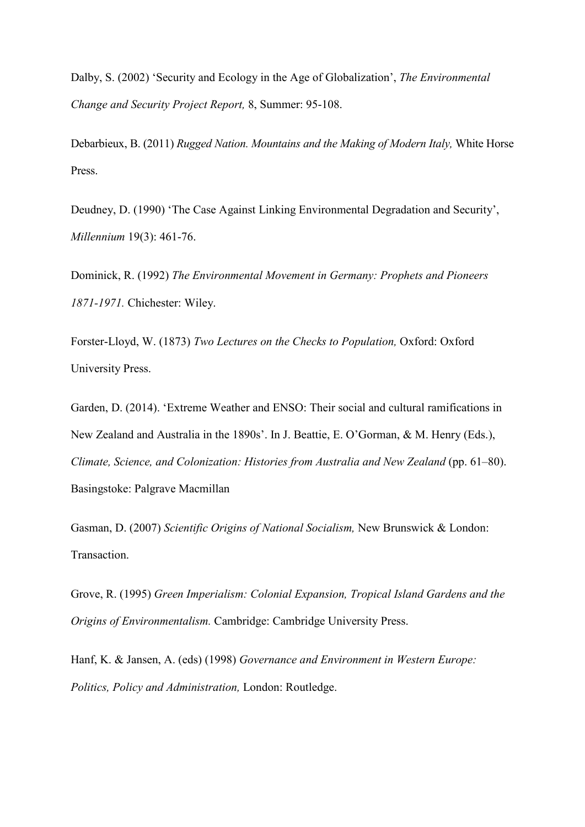Dalby, S. (2002) 'Security and Ecology in the Age of Globalization', *The Environmental Change and Security Project Report,* 8, Summer: 95-108.

Debarbieux, B. (2011) *Rugged Nation. Mountains and the Making of Modern Italy,* White Horse Press.

Deudney, D. (1990) 'The Case Against Linking Environmental Degradation and Security', *Millennium* 19(3): 461-76.

Dominick, R. (1992) *The Environmental Movement in Germany: Prophets and Pioneers 1871-1971.* Chichester: Wiley.

Forster-Lloyd, W. (1873) *Two Lectures on the Checks to Population,* Oxford: Oxford University Press.

Garden, D. (2014). 'Extreme Weather and ENSO: Their social and cultural ramifications in New Zealand and Australia in the 1890s'. In J. Beattie, E. O'Gorman, & M. Henry (Eds.), *Climate, Science, and Colonization: Histories from Australia and New Zealand* (pp. 61–80). Basingstoke: Palgrave Macmillan

Gasman, D. (2007) *Scientific Origins of National Socialism,* New Brunswick & London: Transaction.

Grove, R. (1995) *Green Imperialism: Colonial Expansion, Tropical Island Gardens and the Origins of Environmentalism.* Cambridge: Cambridge University Press.

Hanf, K. & Jansen, A. (eds) (1998) *Governance and Environment in Western Europe: Politics, Policy and Administration,* London: Routledge.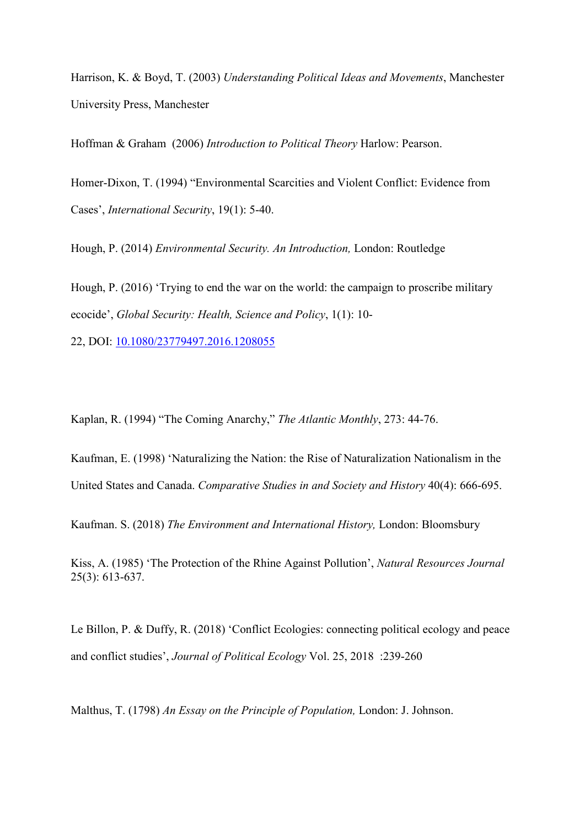Harrison, K. & Boyd, T. (2003) *Understanding Political Ideas and Movements*, Manchester University Press, Manchester

Hoffman & Graham (2006) *Introduction to Political Theory* Harlow: Pearson.

Homer-Dixon, T. (1994) "Environmental Scarcities and Violent Conflict: Evidence from Cases', *International Security*, 19(1): 5-40.

Hough, P. (2014) *Environmental Security. An Introduction,* London: Routledge

Hough, P. (2016) 'Trying to end the war on the world: the campaign to proscribe military ecocide', *Global Security: Health, Science and Policy*, 1(1): 10-

22, DOI: [10.1080/23779497.2016.1208055](https://doi.org/10.1080/23779497.2016.1208055)

Kaplan, R. (1994) "The Coming Anarchy," *The Atlantic Monthly*, 273: 44-76.

Kaufman, E. (1998) 'Naturalizing the Nation: the Rise of Naturalization Nationalism in the United States and Canada. *Comparative Studies in and Society and History* 40(4): 666-695.

Kaufman. S. (2018) *The Environment and International History,* London: Bloomsbury

Kiss, A. (1985) 'The Protection of the Rhine Against Pollution', *Natural Resources Journal*  25(3): 613-637.

Le Billon, P. & Duffy, R. (2018) 'Conflict Ecologies: connecting political ecology and peace and conflict studies', *Journal of Political Ecology* Vol. 25, 2018 :239-260

Malthus, T. (1798) *An Essay on the Principle of Population,* London: J. Johnson.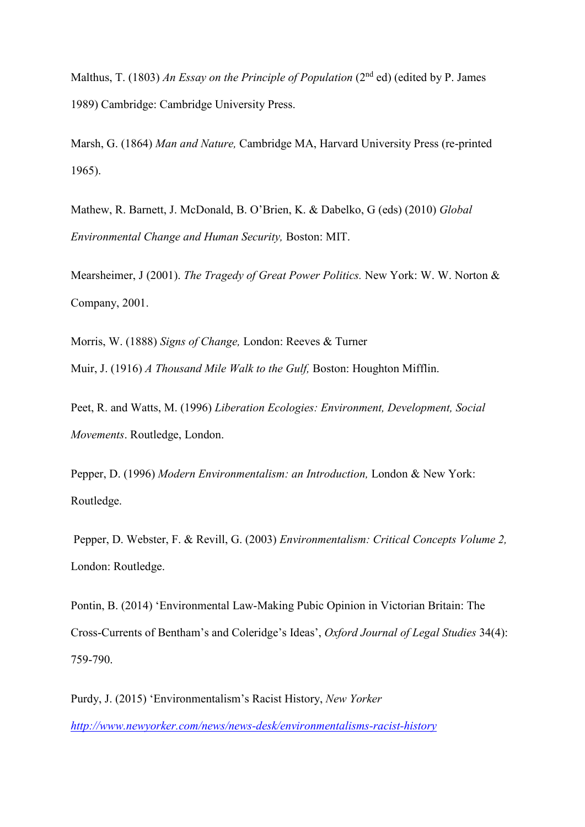Malthus, T. (1803) *An Essay on the Principle of Population* (2nd ed) (edited by P. James 1989) Cambridge: Cambridge University Press.

Marsh, G. (1864) *Man and Nature,* Cambridge MA, Harvard University Press (re-printed 1965).

Mathew, R. Barnett, J. McDonald, B. O'Brien, K. & Dabelko, G (eds) (2010) *Global Environmental Change and Human Security,* Boston: MIT.

Mearsheimer, J (2001). *The Tragedy of Great Power Politics.* New York: W. W. Norton & Company, 2001.

Morris, W. (1888) *Signs of Change,* London: Reeves & Turner Muir, J. (1916) *A Thousand Mile Walk to the Gulf,* Boston: Houghton Mifflin.

Peet, R. and Watts, M. (1996) *Liberation Ecologies: Environment, Development, Social Movements*. Routledge, London.

Pepper, D. (1996) *Modern Environmentalism: an Introduction,* London & New York: Routledge.

Pepper, D. Webster, F. & Revill, G. (2003) *Environmentalism: Critical Concepts Volume 2,*  London: Routledge.

Pontin, B. (2014) 'Environmental Law-Making Pubic Opinion in Victorian Britain: The Cross-Currents of Bentham's and Coleridge's Ideas', *Oxford Journal of Legal Studies* 34(4): 759-790.

Purdy, J. (2015) 'Environmentalism's Racist History, *New Yorker <http://www.newyorker.com/news/news-desk/environmentalisms-racist-history>*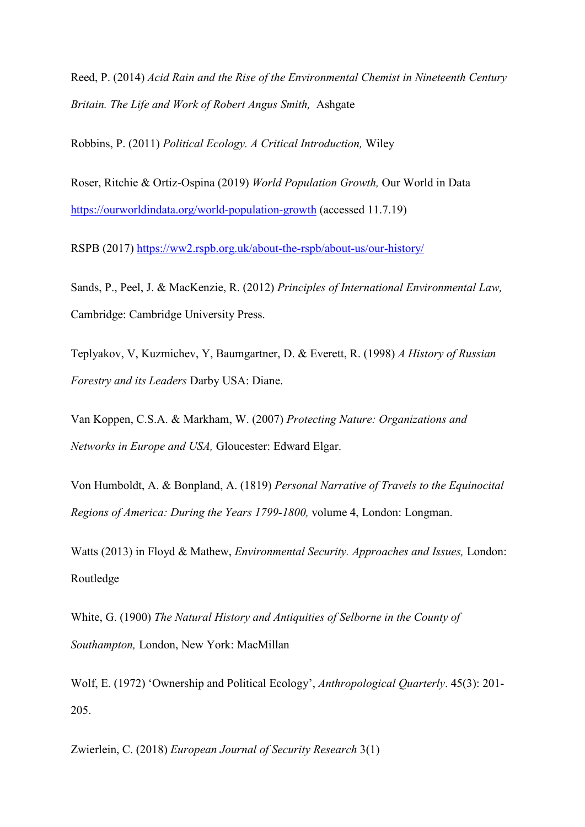Reed, P. (2014) *Acid Rain and the Rise of the Environmental Chemist in Nineteenth Century Britain. The Life and Work of Robert Angus Smith,* Ashgate

Robbins, P. (2011) *Political Ecology. A Critical Introduction,* Wiley

Roser, Ritchie & Ortiz-Ospina (2019) *World Population Growth,* Our World in Data <https://ourworldindata.org/world-population-growth> (accessed 11.7.19)

RSPB (2017)<https://ww2.rspb.org.uk/about-the-rspb/about-us/our-history/>

Sands, P., Peel, J. & MacKenzie, R. (2012) *Principles of International Environmental Law,*  Cambridge: Cambridge University Press.

Teplyakov, V, Kuzmichev, Y, Baumgartner, D. & Everett, R. (1998) *A History of Russian Forestry and its Leaders* Darby USA: Diane.

Van Koppen, C.S.A. & Markham, W. (2007) *Protecting Nature: Organizations and Networks in Europe and USA,* Gloucester: Edward Elgar.

Von Humboldt, A. & Bonpland, A. (1819) *Personal Narrative of Travels to the Equinocital Regions of America: During the Years 1799-1800,* volume 4, London: Longman.

Watts (2013) in Floyd & Mathew, *Environmental Security. Approaches and Issues,* London: Routledge

White, G. (1900) *The Natural History and Antiquities of Selborne in the County of Southampton,* London, New York: MacMillan

Wolf, E. (1972) 'Ownership and Political Ecology', *Anthropological Quarterly*. 45(3): 201- 205.

Zwierlein, C. (2018) *European Journal of Security Research* 3(1)